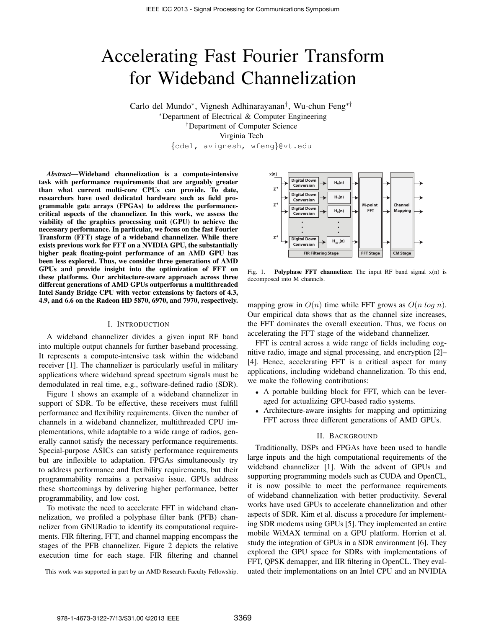# Accelerating Fast Fourier Transform for Wideband Channelization

Carlo del Mundo⇤, Vignesh Adhinarayanan*†*, Wu-chun Feng⇤*†* ⇤Department of Electrical & Computer Engineering *†*Department of Computer Science Virginia Tech

*{*cdel, avignesh, wfeng*}*@vt.edu

*Abstract*—Wideband channelization is a compute-intensive task with performance requirements that are arguably greater than what current multi-core CPUs can provide. To date, researchers have used dedicated hardware such as field programmable gate arrays (FPGAs) to address the performancecritical aspects of the channelizer. In this work, we assess the viability of the graphics processing unit (GPU) to achieve the necessary performance. In particular, we focus on the fast Fourier Transform (FFT) stage of a wideband channelizer. While there exists previous work for FFT on a NVIDIA GPU, the substantially higher peak floating-point performance of an AMD GPU has been less explored. Thus, we consider three generations of AMD GPUs and provide insight into the optimization of FFT on these platforms. Our architecture-aware approach across three different generations of AMD GPUs outperforms a multithreaded Intel Sandy Bridge CPU with vector extensions by factors of 4.3, 4.9, and 6.6 on the Radeon HD 5870, 6970, and 7970, respectively.

#### I. INTRODUCTION

A wideband channelizer divides a given input RF band into multiple output channels for further baseband processing. It represents a compute-intensive task within the wideband receiver [1]. The channelizer is particularly useful in military applications where wideband spread spectrum signals must be demodulated in real time, e.g., software-defined radio (SDR).

Figure 1 shows an example of a wideband channelizer in support of SDR. To be effective, these receivers must fulfill performance and flexibility requirements. Given the number of channels in a wideband channelizer, multithreaded CPU implementations, while adaptable to a wide range of radios, generally cannot satisfy the necessary performance requirements. Special-purpose ASICs can satisfy performance requirements but are inflexible to adaptation. FPGAs simultaneously try to address performance and flexibility requirements, but their programmability remains a pervasive issue. GPUs address these shortcomings by delivering higher performance, better programmability, and low cost.

To motivate the need to accelerate FFT in wideband channelization, we profiled a polyphase filter bank (PFB) channelizer from GNURadio to identify its computational requirements. FIR filtering, FFT, and channel mapping encompass the stages of the PFB channelizer. Figure 2 depicts the relative execution time for each stage. FIR filtering and channel

This work was supported in part by an AMD Research Faculty Fellowship.



Fig. 1. Polyphase FFT channelizer. The input RF band signal  $x(n)$  is decomposed into M channels.

mapping grow in  $O(n)$  time while FFT grows as  $O(n \log n)$ . Our empirical data shows that as the channel size increases, the FFT dominates the overall execution. Thus, we focus on accelerating the FFT stage of the wideband channelizer.

FFT is central across a wide range of fields including cognitive radio, image and signal processing, and encryption [2]– [4]. Hence, accelerating FFT is a critical aspect for many applications, including wideband channelization. To this end, we make the following contributions:

- *•* A portable building block for FFT, which can be leveraged for actualizing GPU-based radio systems.
- *•* Architecture-aware insights for mapping and optimizing FFT across three different generations of AMD GPUs.

## II. BACKGROUND

Traditionally, DSPs and FPGAs have been used to handle large inputs and the high computational requirements of the wideband channelizer [1]. With the advent of GPUs and supporting programming models such as CUDA and OpenCL, it is now possible to meet the performance requirements of wideband channelization with better productivity. Several works have used GPUs to accelerate channelization and other aspects of SDR. Kim et al. discuss a procedure for implementing SDR modems using GPUs [5]. They implemented an entire mobile WiMAX terminal on a GPU platform. Horrien et al. study the integration of GPUs in a SDR environment [6]. They explored the GPU space for SDRs with implementations of FFT, QPSK demapper, and IIR filtering in OpenCL. They evaluated their implementations on an Intel CPU and an NVIDIA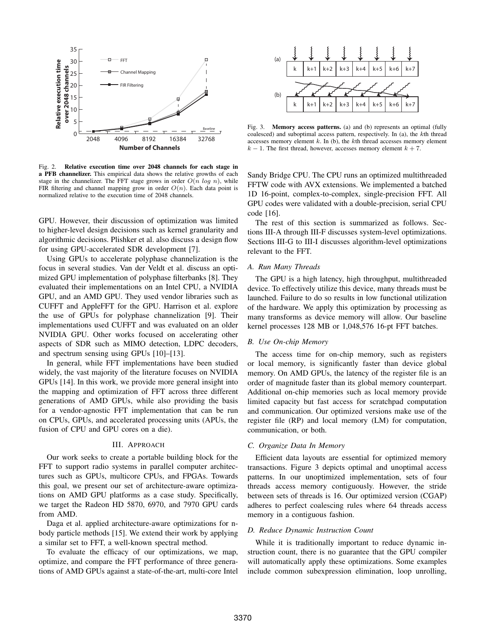

Fig. 2. Relative execution time over 2048 channels for each stage in a PFB channelizer. This empirical data shows the relative growths of each stage in the channelizer. The FFT stage grows in order  $O(n \log n)$ , while FIR filtering and channel mapping grow in order  $O(n)$ . Each data point is normalized relative to the execution time of 2048 channels.

GPU. However, their discussion of optimization was limited to higher-level design decisions such as kernel granularity and algorithmic decisions. Plishker et al. also discuss a design flow for using GPU-accelerated SDR development [7].

Using GPUs to accelerate polyphase channelization is the focus in several studies. Van der Veldt et al. discuss an optimized GPU implementation of polyphase filterbanks [8]. They evaluated their implementations on an Intel CPU, a NVIDIA GPU, and an AMD GPU. They used vendor libraries such as CUFFT and AppleFFT for the GPU. Harrison et al. explore the use of GPUs for polyphase channelization [9]. Their implementations used CUFFT and was evaluated on an older NVIDIA GPU. Other works focused on accelerating other aspects of SDR such as MIMO detection, LDPC decoders, and spectrum sensing using GPUs [10]–[13].

In general, while FFT implementations have been studied widely, the vast majority of the literature focuses on NVIDIA GPUs [14]. In this work, we provide more general insight into the mapping and optimization of FFT across three different generations of AMD GPUs, while also providing the basis for a vendor-agnostic FFT implementation that can be run on CPUs, GPUs, and accelerated processing units (APUs, the fusion of CPU and GPU cores on a die).

## III. APPROACH

Our work seeks to create a portable building block for the FFT to support radio systems in parallel computer architectures such as GPUs, multicore CPUs, and FPGAs. Towards this goal, we present our set of architecture-aware optimizations on AMD GPU platforms as a case study. Specifically, we target the Radeon HD 5870, 6970, and 7970 GPU cards from AMD.

Daga et al. applied architecture-aware optimizations for nbody particle methods [15]. We extend their work by applying a similar set to FFT, a well-known spectral method.

To evaluate the efficacy of our optimizations, we map, optimize, and compare the FFT performance of three generations of AMD GPUs against a state-of-the-art, multi-core Intel



Fig. 3. Memory access patterns. (a) and (b) represents an optimal (fully coalesced) and suboptimal access pattern, respectively. In (a), the *k*th thread accesses memory element *k*. In (b), the *k*th thread accesses memory element  $k - 1$ . The first thread, however, accesses memory element  $k + 7$ .

Sandy Bridge CPU. The CPU runs an optimized multithreaded FFTW code with AVX extensions. We implemented a batched 1D 16-point, complex-to-complex, single-precision FFT. All GPU codes were validated with a double-precision, serial CPU code [16].

The rest of this section is summarized as follows. Sections III-A through III-F discusses system-level optimizations. Sections III-G to III-I discusses algorithm-level optimizations relevant to the FFT.

#### *A. Run Many Threads*

The GPU is a high latency, high throughput, multithreaded device. To effectively utilize this device, many threads must be launched. Failure to do so results in low functional utilization of the hardware. We apply this optimization by processing as many transforms as device memory will allow. Our baseline kernel processes 128 MB or 1,048,576 16-pt FFT batches.

#### *B. Use On-chip Memory*

The access time for on-chip memory, such as registers or local memory, is significantly faster than device global memory. On AMD GPUs, the latency of the register file is an order of magnitude faster than its global memory counterpart. Additional on-chip memories such as local memory provide limited capacity but fast access for scratchpad computation and communication. Our optimized versions make use of the register file (RP) and local memory (LM) for computation, communication, or both.

## *C. Organize Data In Memory*

Efficient data layouts are essential for optimized memory transactions. Figure 3 depicts optimal and unoptimal access patterns. In our unoptimized implementation, sets of four threads access memory contiguously. However, the stride between sets of threads is 16. Our optimized version (CGAP) adheres to perfect coalescing rules where 64 threads access memory in a contiguous fashion.

#### *D. Reduce Dynamic Instruction Count*

While it is traditionally important to reduce dynamic instruction count, there is no guarantee that the GPU compiler will automatically apply these optimizations. Some examples include common subexpression elimination, loop unrolling,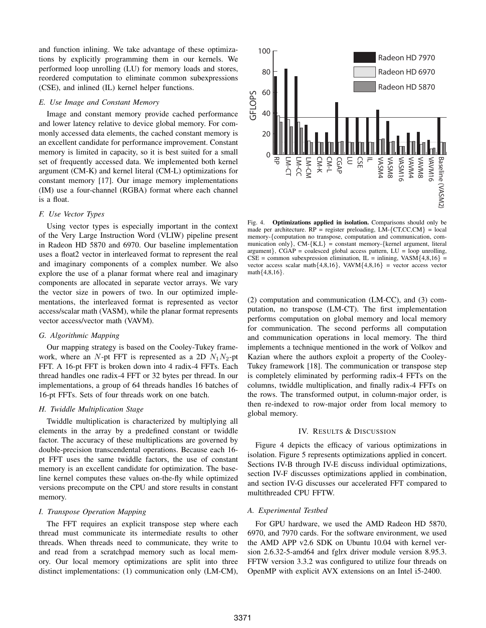and function inlining. We take advantage of these optimizations by explicitly programming them in our kernels. We performed loop unrolling (LU) for memory loads and stores, reordered computation to eliminate common subexpressions (CSE), and inlined (IL) kernel helper functions.

#### *E. Use Image and Constant Memory*

Image and constant memory provide cached performance and lower latency relative to device global memory. For commonly accessed data elements, the cached constant memory is an excellent candidate for performance improvement. Constant memory is limited in capacity, so it is best suited for a small set of frequently accessed data. We implemented both kernel argument (CM-K) and kernel literal (CM-L) optimizations for constant memory [17]. Our image memory implementations (IM) use a four-channel (RGBA) format where each channel is a float.

## *F. Use Vector Types*

Using vector types is especially important in the context of the Very Large Instruction Word (VLIW) pipeline present in Radeon HD 5870 and 6970. Our baseline implementation uses a float2 vector in interleaved format to represent the real and imaginary components of a complex number. We also explore the use of a planar format where real and imaginary components are allocated in separate vector arrays. We vary the vector size in powers of two. In our optimized implementations, the interleaved format is represented as vector access/scalar math (VASM), while the planar format represents vector access/vector math (VAVM).

# *G. Algorithmic Mapping*

Our mapping strategy is based on the Cooley-Tukey framework, where an *N*-pt FFT is represented as a 2D  $N_1N_2$ -pt FFT. A 16-pt FFT is broken down into 4 radix-4 FFTs. Each thread handles one radix-4 FFT or 32 bytes per thread. In our implementations, a group of 64 threads handles 16 batches of 16-pt FFTs. Sets of four threads work on one batch.

## *H. Twiddle Multiplication Stage*

Twiddle multiplication is characterized by multiplying all elements in the array by a predefined constant or twiddle factor. The accuracy of these multiplications are governed by double-precision transcendental operations. Because each 16 pt FFT uses the same twiddle factors, the use of constant memory is an excellent candidate for optimization. The baseline kernel computes these values on-the-fly while optimized versions precompute on the CPU and store results in constant memory.

## *I. Transpose Operation Mapping*

The FFT requires an explicit transpose step where each thread must communicate its intermediate results to other threads. When threads need to communicate, they write to and read from a scratchpad memory such as local memory. Our local memory optimizations are split into three distinct implementations: (1) communication only (LM-CM),



Fig. 4. Optimizations applied in isolation. Comparisons should only be made per architecture. RP = register preloading, LM-*{*CT,CC,CM*}* = local memory-*{*computation no transpose, computation and communication, communication only*}*, CM-*{*K,L*}* = constant memory-*{*kernel argument, literal argument*}*, CGAP = coalesced global access pattern, LU = loop unrolling,  $CSE =$  common subexpression elimination, IL = inlining, VASM $\{4,8,16\}$  = vector access scalar math*{*4,8,16*}*, VAVM*{*4,8,16*}* = vector access vector math*{*4,8,16*}*.

(2) computation and communication (LM-CC), and (3) computation, no transpose (LM-CT). The first implementation performs computation on global memory and local memory for communication. The second performs all computation and communication operations in local memory. The third implements a technique mentioned in the work of Volkov and Kazian where the authors exploit a property of the Cooley-Tukey framework [18]. The communication or transpose step is completely eliminated by performing radix-4 FFTs on the columns, twiddle multiplication, and finally radix-4 FFTs on the rows. The transformed output, in column-major order, is then re-indexed to row-major order from local memory to global memory.

## IV. RESULTS & DISCUSSION

Figure 4 depicts the efficacy of various optimizations in isolation. Figure 5 represents optimizations applied in concert. Sections IV-B through IV-E discuss individual optimizations, section IV-F discusses optimizations applied in combination, and section IV-G discusses our accelerated FFT compared to multithreaded CPU FFTW.

## *A. Experimental Testbed*

For GPU hardware, we used the AMD Radeon HD 5870, 6970, and 7970 cards. For the software environment, we used the AMD APP v2.6 SDK on Ubuntu 10.04 with kernel version 2.6.32-5-amd64 and fglrx driver module version 8.95.3. FFTW version 3.3.2 was configured to utilize four threads on OpenMP with explicit AVX extensions on an Intel i5-2400.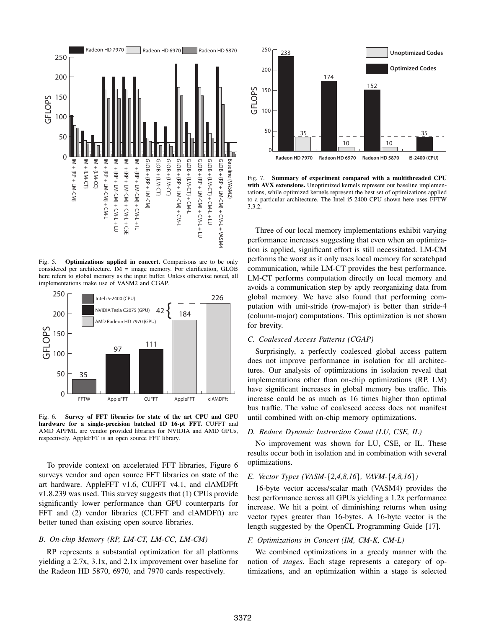

Fig. 5. Optimizations applied in concert. Comparisons are to be only considered per architecture. IM = image memory. For clarification, GLOB here refers to global memory as the input buffer. Unless otherwise noted, all implementations make use of VASM2 and CGAP.



Fig. 6. Survey of FFT libraries for state of the art CPU and GPU hardware for a single-precision batched 1D 16-pt FFT. CUFFT and AMD APPML are vendor provided libraries for NVIDIA and AMD GPUs, respectively. AppleFFT is an open source FFT library.

To provide context on accelerated FFT libraries, Figure 6 surveys vendor and open source FFT libraries on state of the art hardware. AppleFFT v1.6, CUFFT v4.1, and clAMDFft v1.8.239 was used. This survey suggests that (1) CPUs provide significantly lower performance than GPU counterparts for FFT and (2) vendor libraries (CUFFT and clAMDFft) are better tuned than existing open source libraries.

## *B. On-chip Memory (RP, LM-CT, LM-CC, LM-CM)*

RP represents a substantial optimization for all platforms yielding a 2.7x, 3.1x, and 2.1x improvement over baseline for the Radeon HD 5870, 6970, and 7970 cards respectively.



Fig. 7. Summary of experiment compared with a multithreaded CPU with AVX extensions. Unoptimized kernels represent our baseline implementations, while optimized kernels represent the best set of optimizations applied to a particular architecture. The Intel i5-2400 CPU shown here uses FFTW 3.3.2.

Three of our local memory implementations exhibit varying performance increases suggesting that even when an optimization is applied, significant effort is still necessitated. LM-CM performs the worst as it only uses local memory for scratchpad communication, while LM-CT provides the best performance. LM-CT performs computation directly on local memory and avoids a communication step by aptly reorganizing data from global memory. We have also found that performing computation with unit-stride (row-major) is better than stride-4 (column-major) computations. This optimization is not shown for brevity.

# *C. Coalesced Access Patterns (CGAP)*

Surprisingly, a perfectly coalesced global access pattern does not improve performance in isolation for all architectures. Our analysis of optimizations in isolation reveal that implementations other than on-chip optimizations (RP, LM) have significant increases in global memory bus traffic. This increase could be as much as 16 times higher than optimal bus traffic. The value of coalesced access does not manifest until combined with on-chip memory optimizations.

## *D. Reduce Dynamic Instruction Count (LU, CSE, IL)*

No improvement was shown for LU, CSE, or IL. These results occur both in isolation and in combination with several optimizations.

#### *E. Vector Types (VASM-{2,4,8,16}, VAVM-{4,8,16})*

16-byte vector access/scalar math (VASM4) provides the best performance across all GPUs yielding a 1.2x performance increase. We hit a point of diminishing returns when using vector types greater than 16-bytes. A 16-byte vector is the length suggested by the OpenCL Programming Guide [17].

## *F. Optimizations in Concert (IM, CM-K, CM-L)*

We combined optimizations in a greedy manner with the notion of *stages*. Each stage represents a category of optimizations, and an optimization within a stage is selected